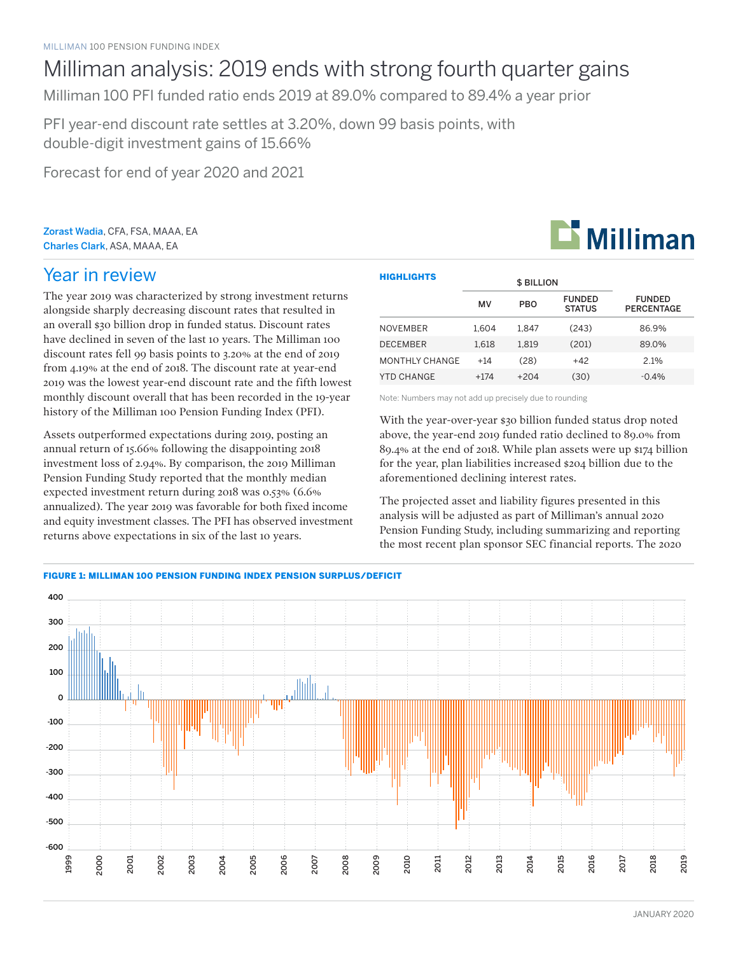## Milliman analysis: 2019 ends with strong fourth quarter gains

Milliman 100 PFI funded ratio ends 2019 at 89.0% compared to 89.4% a year prior

PFI year-end discount rate settles at 3.20%, down 99 basis points, with double-digit investment gains of 15.66%

Forecast for end of year 2020 and 2021

Zorast Wadia, CFA, FSA, MAAA, EA Charles Clark, ASA, MAAA, EA

# **Li** Milliman

## Year in review

The year 2019 was characterized by strong investment returns alongside sharply decreasing discount rates that resulted in an overall \$30 billion drop in funded status. Discount rates have declined in seven of the last 10 years. The Milliman 100 discount rates fell 99 basis points to 3.20% at the end of 2019 from 4.19% at the end of 2018. The discount rate at year-end 2019 was the lowest year-end discount rate and the fifth lowest monthly discount overall that has been recorded in the 19-year history of the Milliman 100 Pension Funding Index (PFI).

Assets outperformed expectations during 2019, posting an annual return of 15.66% following the disappointing 2018 investment loss of 2.94%. By comparison, the 2019 Milliman Pension Funding Study reported that the monthly median expected investment return during 2018 was 0.53% (6.6% annualized). The year 2019 was favorable for both fixed income and equity investment classes. The PFI has observed investment returns above expectations in six of the last 10 years.

| <b>HIGHLIGHTS</b> |        | <b>\$ BILLION</b> |                                |                                    |
|-------------------|--------|-------------------|--------------------------------|------------------------------------|
|                   | MV     | <b>PBO</b>        | <b>FUNDED</b><br><b>STATUS</b> | <b>FUNDED</b><br><b>PERCENTAGE</b> |
| <b>NOVEMBER</b>   | 1.604  | 1.847             | (243)                          | 86.9%                              |
| <b>DECEMBER</b>   | 1.618  | 1.819             | (201)                          | 89.0%                              |
| MONTHLY CHANGE    | $+14$  | (28)              | $+42$                          | 2.1%                               |
| YTD CHANGE        | $+174$ | $+204$            | (30)                           | $-0.4%$                            |

Note: Numbers may not add up precisely due to rounding

With the year-over-year \$30 billion funded status drop noted above, the year-end 2019 funded ratio declined to 89.0% from 89.4% at the end of 2018. While plan assets were up \$174 billion for the year, plan liabilities increased \$204 billion due to the aforementioned declining interest rates.

The projected asset and liability figures presented in this analysis will be adjusted as part of Milliman's annual 2020 Pension Funding Study, including summarizing and reporting the most recent plan sponsor SEC financial reports. The 2020

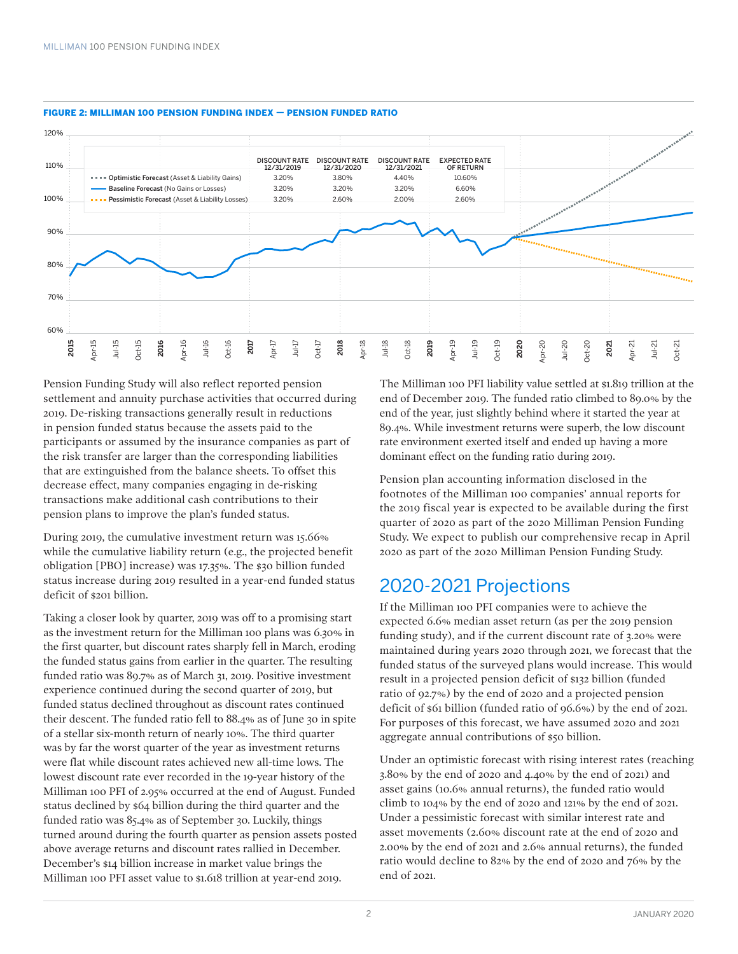

#### FIGURE 2: MILLIMAN 100 PENSION FUNDING INDEX — PENSION FUNDED RATIO

Pension Funding Study will also reflect reported pension settlement and annuity purchase activities that occurred during 2019. De-risking transactions generally result in reductions in pension funded status because the assets paid to the participants or assumed by the insurance companies as part of the risk transfer are larger than the corresponding liabilities that are extinguished from the balance sheets. To offset this decrease effect, many companies engaging in de-risking transactions make additional cash contributions to their pension plans to improve the plan's funded status.

During 2019, the cumulative investment return was 15.66% while the cumulative liability return (e.g., the projected benefit obligation [PBO] increase) was 17.35%. The \$30 billion funded status increase during 2019 resulted in a year-end funded status deficit of \$201 billion.

Taking a closer look by quarter, 2019 was off to a promising start as the investment return for the Milliman 100 plans was 6.30% in the first quarter, but discount rates sharply fell in March, eroding the funded status gains from earlier in the quarter. The resulting funded ratio was 89.7% as of March 31, 2019. Positive investment experience continued during the second quarter of 2019, but funded status declined throughout as discount rates continued their descent. The funded ratio fell to 88.4% as of June 30 in spite of a stellar six-month return of nearly 10%. The third quarter was by far the worst quarter of the year as investment returns were flat while discount rates achieved new all-time lows. The lowest discount rate ever recorded in the 19-year history of the Milliman 100 PFI of 2.95% occurred at the end of August. Funded status declined by \$64 billion during the third quarter and the funded ratio was 85.4% as of September 30. Luckily, things turned around during the fourth quarter as pension assets posted above average returns and discount rates rallied in December. December's \$14 billion increase in market value brings the Milliman 100 PFI asset value to \$1.618 trillion at year-end 2019.

The Milliman 100 PFI liability value settled at \$1.819 trillion at the end of December 2019. The funded ratio climbed to 89.0% by the end of the year, just slightly behind where it started the year at 89.4%. While investment returns were superb, the low discount rate environment exerted itself and ended up having a more dominant effect on the funding ratio during 2019.

Pension plan accounting information disclosed in the footnotes of the Milliman 100 companies' annual reports for the 2019 fiscal year is expected to be available during the first quarter of 2020 as part of the 2020 Milliman Pension Funding Study. We expect to publish our comprehensive recap in April 2020 as part of the 2020 Milliman Pension Funding Study.

## 2020-2021 Projections

If the Milliman 100 PFI companies were to achieve the expected 6.6% median asset return (as per the 2019 pension funding study), and if the current discount rate of 3.20% were maintained during years 2020 through 2021, we forecast that the funded status of the surveyed plans would increase. This would result in a projected pension deficit of \$132 billion (funded ratio of 92.7%) by the end of 2020 and a projected pension deficit of \$61 billion (funded ratio of 96.6%) by the end of 2021. For purposes of this forecast, we have assumed 2020 and 2021 aggregate annual contributions of \$50 billion.

Under an optimistic forecast with rising interest rates (reaching 3.80% by the end of 2020 and 4.40% by the end of 2021) and asset gains (10.6% annual returns), the funded ratio would climb to 104% by the end of 2020 and 121% by the end of 2021. Under a pessimistic forecast with similar interest rate and asset movements (2.60% discount rate at the end of 2020 and 2.00% by the end of 2021 and 2.6% annual returns), the funded ratio would decline to 82% by the end of 2020 and 76% by the end of 2021.